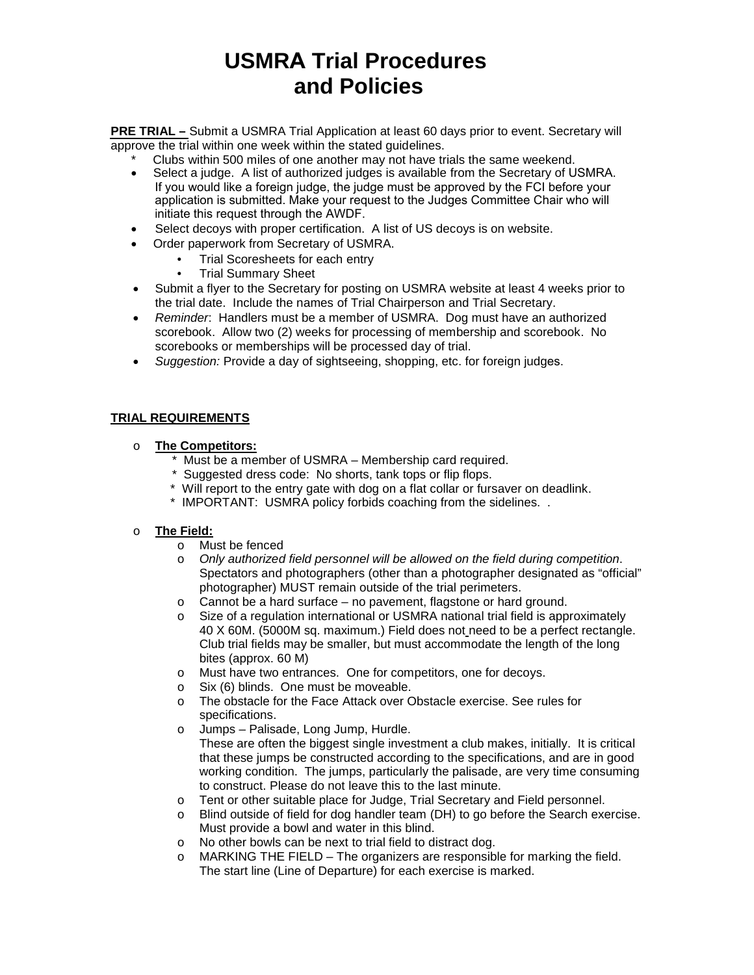# **USMRA Trial Procedures and Policies**

**PRE TRIAL –** Submit a USMRA Trial Application at least 60 days prior to event. Secretary will approve the trial within one week within the stated guidelines.

- Clubs within 500 miles of one another may not have trials the same weekend.
- Select a judge. A list of authorized judges is available from the Secretary of USMRA. If you would like a foreign judge, the judge must be approved by the FCI before your application is submitted. Make your request to the Judges Committee Chair who will initiate this request through the AWDF.
- Select decoys with proper certification. A list of US decoys is on website.
- Order paperwork from Secretary of USMRA.
	- Trial Scoresheets for each entry
		- Trial Summary Sheet
- Submit a flyer to the Secretary for posting on USMRA website at least 4 weeks prior to the trial date. Include the names of Trial Chairperson and Trial Secretary.
- *Reminder*: Handlers must be a member of USMRA. Dog must have an authorized scorebook. Allow two (2) weeks for processing of membership and scorebook. No scorebooks or memberships will be processed day of trial.
- *Suggestion:* Provide a day of sightseeing, shopping, etc. for foreign judges.

# **TRIAL REQUIREMENTS**

- o **The Competitors:**
	- \* Must be a member of USMRA Membership card required.
	- \* Suggested dress code: No shorts, tank tops or flip flops.
	- \* Will report to the entry gate with dog on a flat collar or fursaver on deadlink.
	- \* IMPORTANT: USMRA policy forbids coaching from the sidelines. .

## o **The Field:**

- o Must be fenced
- o *Only authorized field personnel will be allowed on the field during competition*. Spectators and photographers (other than a photographer designated as "official" photographer) MUST remain outside of the trial perimeters.
- o Cannot be a hard surface no pavement, flagstone or hard ground.
- o Size of a regulation international or USMRA national trial field is approximately 40 X 60M. (5000M sq. maximum.) Field does not need to be a perfect rectangle. Club trial fields may be smaller, but must accommodate the length of the long bites (approx. 60 M)
- o Must have two entrances. One for competitors, one for decoys.
- o Six (6) blinds. One must be moveable.
- o The obstacle for the Face Attack over Obstacle exercise. See rules for specifications.
- o Jumps Palisade, Long Jump, Hurdle.

These are often the biggest single investment a club makes, initially. It is critical that these jumps be constructed according to the specifications, and are in good working condition. The jumps, particularly the palisade, are very time consuming to construct. Please do not leave this to the last minute.

- o Tent or other suitable place for Judge, Trial Secretary and Field personnel.
- o Blind outside of field for dog handler team (DH) to go before the Search exercise. Must provide a bowl and water in this blind.
- o No other bowls can be next to trial field to distract dog.
- $\circ$  MARKING THE FIELD The organizers are responsible for marking the field. The start line (Line of Departure) for each exercise is marked.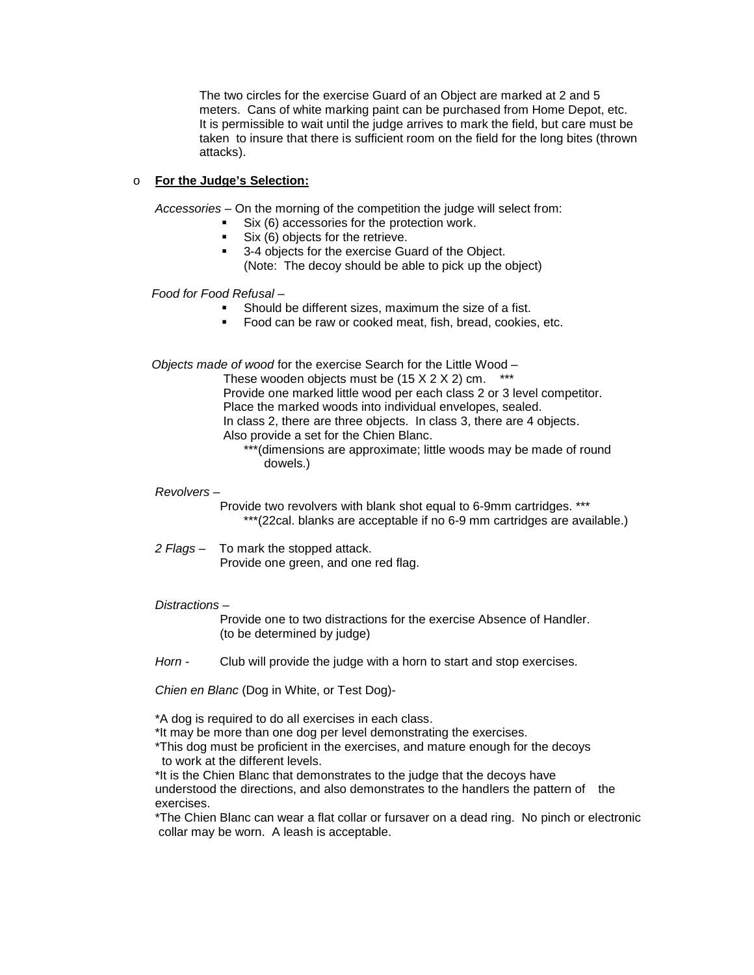The two circles for the exercise Guard of an Object are marked at 2 and 5 meters. Cans of white marking paint can be purchased from Home Depot, etc. It is permissible to wait until the judge arrives to mark the field, but care must be taken to insure that there is sufficient room on the field for the long bites (thrown attacks).

# o **For the Judge's Selection:**

*Accessories* – On the morning of the competition the judge will select from:

- Six (6) accessories for the protection work.
- Six (6) objects for the retrieve.
- <sup>3</sup> 3-4 objects for the exercise Guard of the Object. (Note: The decoy should be able to pick up the object)

 *Food for Food Refusal –*

- Should be different sizes, maximum the size of a fist.
- Food can be raw or cooked meat, fish, bread, cookies, etc.

 *Objects made of wood* for the exercise Search for the Little Wood –

These wooden objects must be  $(15 X 2 X 2)$  cm. \*\*\* Provide one marked little wood per each class 2 or 3 level competitor. Place the marked woods into individual envelopes, sealed. In class 2, there are three objects. In class 3, there are 4 objects. Also provide a set for the Chien Blanc.

\*\*\*(dimensions are approximate; little woods may be made of round dowels.)

## *Revolvers* –

 Provide two revolvers with blank shot equal to 6-9mm cartridges. \*\*\* \*\*\*(22cal. blanks are acceptable if no 6-9 mm cartridges are available.)

*2 Flags* – To mark the stopped attack. Provide one green, and one red flag.

## *Distractions –*

 Provide one to two distractions for the exercise Absence of Handler. (to be determined by judge)

*Horn -* Club will provide the judge with a horn to start and stop exercises.

*Chien en Blanc* (Dog in White, or Test Dog)-

\*A dog is required to do all exercises in each class.

\*It may be more than one dog per level demonstrating the exercises.

\*This dog must be proficient in the exercises, and mature enough for the decoys to work at the different levels.

\*It is the Chien Blanc that demonstrates to the judge that the decoys have understood the directions, and also demonstrates to the handlers the pattern of the exercises.

\*The Chien Blanc can wear a flat collar or fursaver on a dead ring. No pinch or electronic collar may be worn. A leash is acceptable.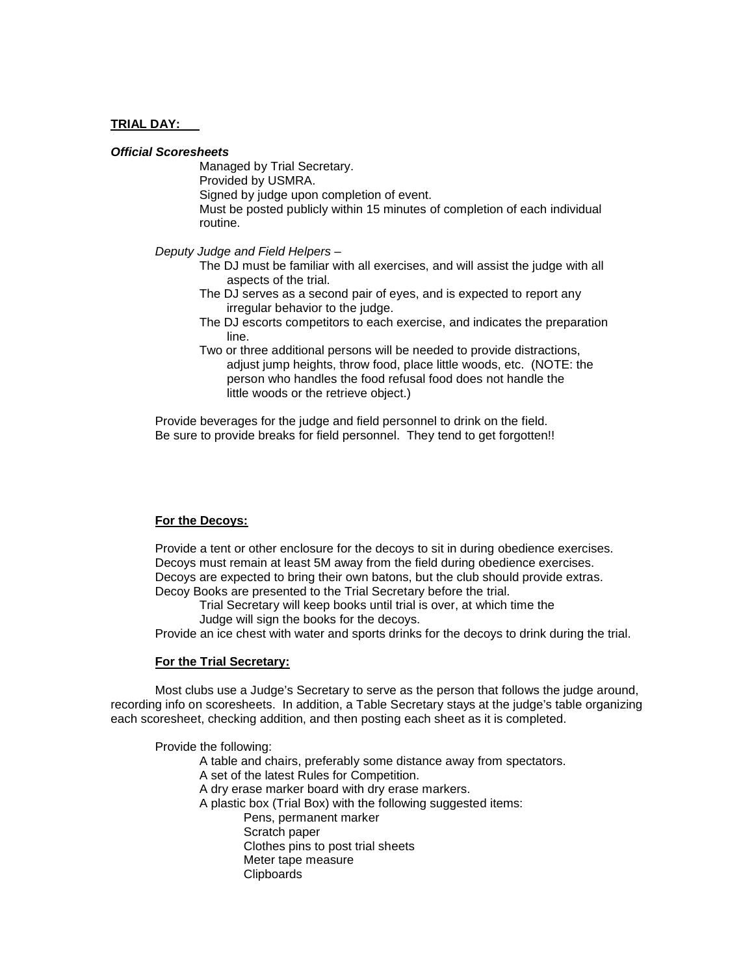#### **TRIAL DAY:**

#### *Official Scoresheets*

Managed by Trial Secretary. Provided by USMRA. Signed by judge upon completion of event. Must be posted publicly within 15 minutes of completion of each individual routine.

*Deputy Judge and Field Helpers* –

- The DJ must be familiar with all exercises, and will assist the judge with all aspects of the trial.
- The DJ serves as a second pair of eyes, and is expected to report any irregular behavior to the judge.
- The DJ escorts competitors to each exercise, and indicates the preparation line.
- Two or three additional persons will be needed to provide distractions, adjust jump heights, throw food, place little woods, etc. (NOTE: the person who handles the food refusal food does not handle the little woods or the retrieve object.)

Provide beverages for the judge and field personnel to drink on the field. Be sure to provide breaks for field personnel. They tend to get forgotten!!

### **For the Decoys:**

Provide a tent or other enclosure for the decoys to sit in during obedience exercises. Decoys must remain at least 5M away from the field during obedience exercises. Decoys are expected to bring their own batons, but the club should provide extras. Decoy Books are presented to the Trial Secretary before the trial.

Trial Secretary will keep books until trial is over, at which time the Judge will sign the books for the decoys.

Provide an ice chest with water and sports drinks for the decoys to drink during the trial.

#### **For the Trial Secretary:**

Most clubs use a Judge's Secretary to serve as the person that follows the judge around, recording info on scoresheets. In addition, a Table Secretary stays at the judge's table organizing each scoresheet, checking addition, and then posting each sheet as it is completed.

Provide the following: A table and chairs, preferably some distance away from spectators. A set of the latest Rules for Competition. A dry erase marker board with dry erase markers. A plastic box (Trial Box) with the following suggested items: Pens, permanent marker Scratch paper Clothes pins to post trial sheets Meter tape measure **Clipboards**